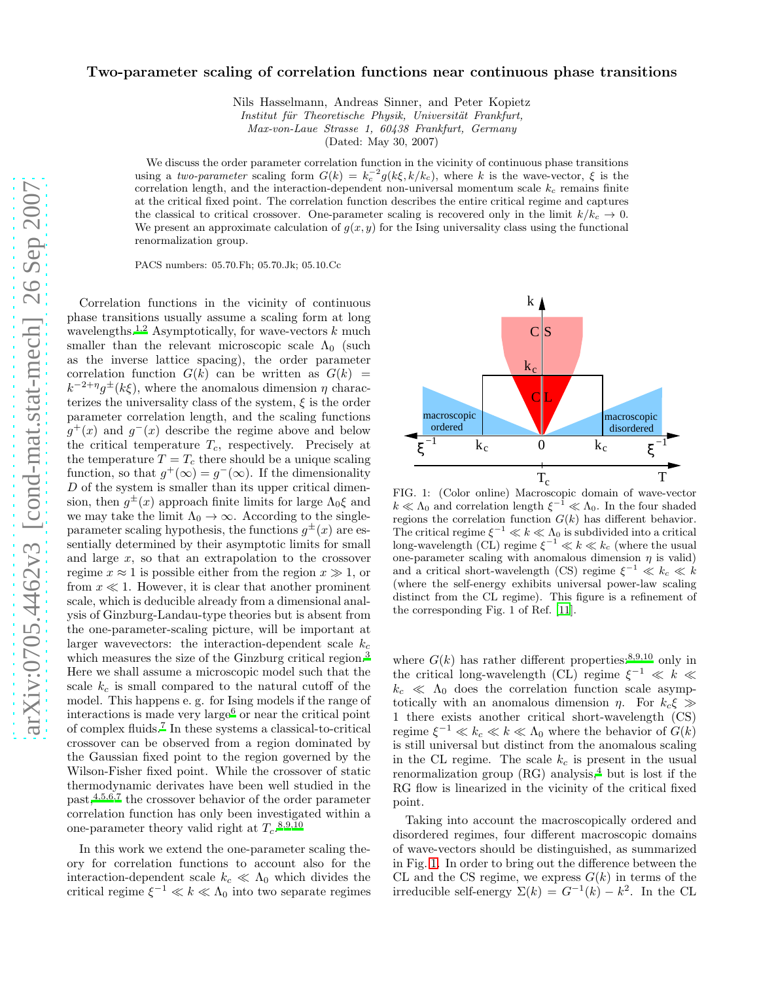## Two-parameter scaling of correlation functions near continuous phase transitions

Nils Hasselmann, Andreas Sinner, and Peter Kopietz

Institut für Theoretische Physik, Universität Frankfurt,

Max-von-Laue Strasse 1, 60438 Frankfurt, Germany

(Dated: May 30, 2007)

We discuss the order parameter correlation function in the vicinity of continuous phase transitions using a two-parameter scaling form  $G(k) = k_c^{-2} g(k\xi, k/k_c)$ , where k is the wave-vector,  $\xi$  is the correlation length, and the interaction-dependent non-universal momentum scale  $k_c$  remains finite at the critical fixed point. The correlation function describes the entire critical regime and captures the classical to critical crossover. One-parameter scaling is recovered only in the limit  $k/k_c \rightarrow 0$ . We present an approximate calculation of  $g(x, y)$  for the Ising universality class using the functional renormalization group.

PACS numbers: 05.70.Fh; 05.70.Jk; 05.10.Cc

Correlation functions in the vicinity of continuous phase transitions usually assume a scaling form at long wavelengths.<sup>[1](#page-3-0)[,2](#page-3-1)</sup> Asymptotically, for wave-vectors  $k$  much smaller than the relevant microscopic scale  $\Lambda_0$  (such as the inverse lattice spacing), the order parameter correlation function  $G(k)$  can be written as  $G(k)$  =  $k^{-2+\eta}g^{\pm}(k\xi)$ , where the anomalous dimension  $\eta$  characterizes the universality class of the system,  $\xi$  is the order parameter correlation length, and the scaling functions  $g^+(x)$  and  $g^-(x)$  describe the regime above and below the critical temperature  $T_c$ , respectively. Precisely at the temperature  $T = T_c$  there should be a unique scaling function, so that  $g^+(\infty) = g^-(\infty)$ . If the dimensionality D of the system is smaller than its upper critical dimension, then  $g^{\pm}(x)$  approach finite limits for large  $\Lambda_0 \xi$  and we may take the limit  $\Lambda_0 \to \infty$ . According to the singleparameter scaling hypothesis, the functions  $g^{\pm}(x)$  are essentially determined by their asymptotic limits for small and large  $x$ , so that an extrapolation to the crossover regime  $x \approx 1$  is possible either from the region  $x \gg 1$ , or from  $x \ll 1$ . However, it is clear that another prominent scale, which is deducible already from a dimensional analysis of Ginzburg-Landau-type theories but is absent from the one-parameter-scaling picture, will be important at larger wavevectors: the interaction-dependent scale  $k_c$ which measures the size of the Ginzburg critical region.<sup>[3](#page-3-2)</sup> Here we shall assume a microscopic model such that the scale  $k_c$  is small compared to the natural cutoff of the model. This happens e. g. for Ising models if the range of interactions is made very large<sup>[6](#page-3-3)</sup> or near the critical point of complex fluids.[7](#page-3-4) In these systems a classical-to-critical crossover can be observed from a region dominated by the Gaussian fixed point to the region governed by the Wilson-Fisher fixed point. While the crossover of static thermodynamic derivates have been well studied in the  $past, 4,5,6,7$  $past, 4,5,6,7$  $past, 4,5,6,7$  $past, 4,5,6,7$  $past, 4,5,6,7$  the crossover behavior of the order parameter correlation function has only been investigated within a one-parameter theory valid right at  $T_c$ .<sup>[8](#page-3-7)[,9](#page-3-8)[,10](#page-3-9)</sup>

In this work we extend the one-parameter scaling theory for correlation functions to account also for the interaction-dependent scale  $k_c \ll \Lambda_0$  which divides the critical regime  $\xi^{-1} \ll k \ll \Lambda_0$  into two separate regimes



<span id="page-0-0"></span>FIG. 1: (Color online) Macroscopic domain of wave-vector  $k \ll \Lambda_0$  and correlation length  $\xi^{-1} \ll \Lambda_0$ . In the four shaded regions the correlation function  $G(k)$  has different behavior. The critical regime  $\xi^{-1} \ll k \ll \Lambda_0$  is subdivided into a critical long-wavelength (CL) regime  $\zeta^{-1} \ll k \ll k_c$  (where the usual one-parameter scaling with anomalous dimension  $\eta$  is valid) and a critical short-wavelength (CS) regime  $\xi^{-1} \ll k_c \ll k$ (where the self-energy exhibits universal power-law scaling distinct from the CL regime). This figure is a refinement of the corresponding Fig. 1 of Ref. [\[11](#page-3-10)].

where  $G(k)$  has rather different properties:<sup>[8](#page-3-7)[,9](#page-3-8)[,10](#page-3-9)</sup> only in the critical long-wavelength (CL) regime  $\xi^{-1} \ll k \ll$  $k_c \ll \Lambda_0$  does the correlation function scale asymptotically with an anomalous dimension  $\eta$ . For  $k_c \xi \gg$ 1 there exists another critical short-wavelength (CS) regime  $\xi^{-1} \ll k_c \ll k \ll \Lambda_0$  where the behavior of  $G(k)$ is still universal but distinct from the anomalous scaling in the CL regime. The scale  $k_c$  is present in the usual renormalization group  $(RG)$  analysis,<sup>[4](#page-3-5)</sup> but is lost if the RG flow is linearized in the vicinity of the critical fixed point.

Taking into account the macroscopically ordered and disordered regimes, four different macroscopic domains of wave-vectors should be distinguished, as summarized in Fig. [1.](#page-0-0) In order to bring out the difference between the CL and the CS regime, we express  $G(k)$  in terms of the irreducible self-energy  $\Sigma(k) = G^{-1}(k) - k^2$ . In the CL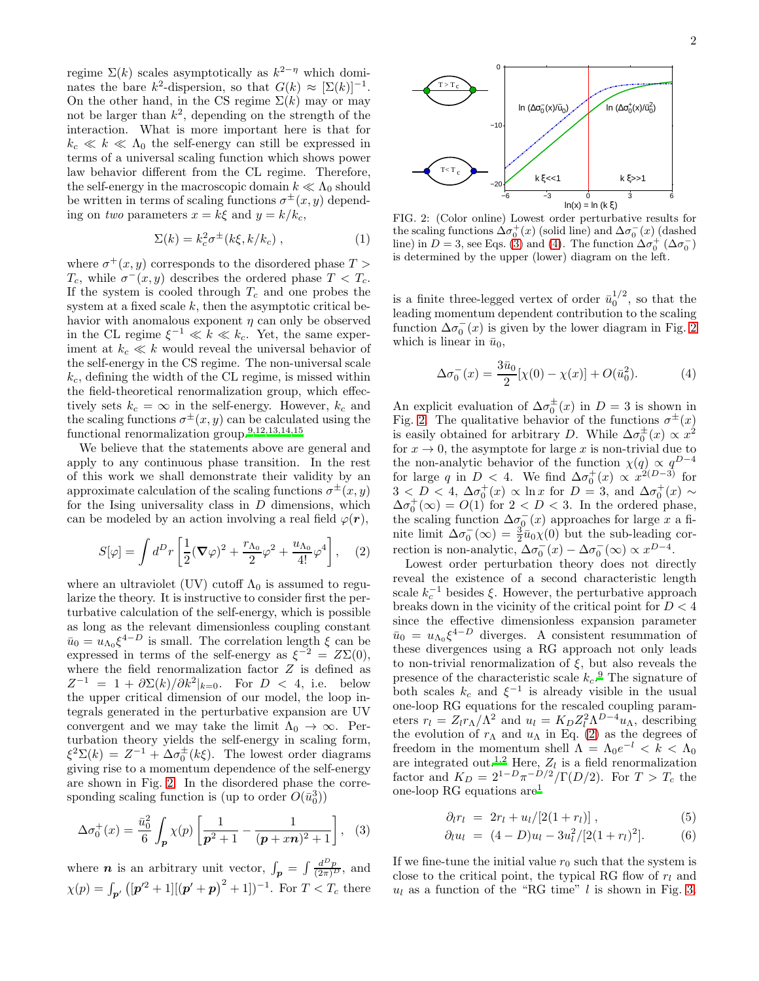regime  $\Sigma(k)$  scales asymptotically as  $k^{2-\eta}$  which dominates the bare k<sup>2</sup>-dispersion, so that  $G(k) \approx [\Sigma(k)]^{-1}$ . On the other hand, in the CS regime  $\Sigma(k)$  may or may not be larger than  $k^2$ , depending on the strength of the interaction. What is more important here is that for  $k_c \ll k \ll \Lambda_0$  the self-energy can still be expressed in terms of a universal scaling function which shows power law behavior different from the CL regime. Therefore, the self-energy in the macroscopic domain  $k \ll \Lambda_0$  should be written in terms of scaling functions  $\sigma^{\pm}(x, y)$  depending on two parameters  $x = k\xi$  and  $y = k/k_c$ ,

<span id="page-1-5"></span>
$$
\Sigma(k) = k_c^2 \sigma^{\pm} (k\xi, k/k_c) , \qquad (1)
$$

where  $\sigma^+(x, y)$  corresponds to the disordered phase  $T >$  $T_c$ , while  $\sigma^-(x, y)$  describes the ordered phase  $T < T_c$ . If the system is cooled through  $T_c$  and one probes the system at a fixed scale  $k$ , then the asymptotic critical behavior with anomalous exponent  $\eta$  can only be observed in the CL regime  $\xi^{-1} \ll k \ll k_c$ . Yet, the same experiment at  $k_c \ll k$  would reveal the universal behavior of the self-energy in the CS regime. The non-universal scale  $k_c$ , defining the width of the CL regime, is missed within the field-theoretical renormalization group, which effectively sets  $k_c = \infty$  in the self-energy. However,  $k_c$  and the scaling functions  $\sigma^{\pm}(x, y)$  can be calculated using the functional renormalization group.[9](#page-3-8)[,12](#page-3-11)[,13](#page-3-12)[,14](#page-3-13)[,15](#page-3-14)

We believe that the statements above are general and apply to any continuous phase transition. In the rest of this work we shall demonstrate their validity by an approximate calculation of the scaling functions  $\sigma^{\pm}(x, y)$ for the Ising universality class in  $D$  dimensions, which can be modeled by an action involving a real field  $\varphi(\mathbf{r}),$ 

<span id="page-1-3"></span>
$$
S[\varphi] = \int d^D r \left[ \frac{1}{2} (\nabla \varphi)^2 + \frac{r_{\Lambda_0}}{2} \varphi^2 + \frac{u_{\Lambda_0}}{4!} \varphi^4 \right], \quad (2)
$$

where an ultraviolet (UV) cutoff  $\Lambda_0$  is assumed to regularize the theory. It is instructive to consider first the perturbative calculation of the self-energy, which is possible as long as the relevant dimensionless coupling constant  $\bar{u}_0 = \tilde{u}_{\Lambda_0} \xi^{4-D}$  is small. The correlation length  $\xi$  can be expressed in terms of the self-energy as  $\xi^{-2} = Z\Sigma(0)$ , where the field renormalization factor Z is defined as  $Z^{-1} = 1 + \partial \Sigma(k) / \partial k^2 |_{k=0}$ . For  $D < 4$ , i.e. below the upper critical dimension of our model, the loop integrals generated in the perturbative expansion are UV convergent and we may take the limit  $\Lambda_0 \to \infty$ . Perturbation theory yields the self-energy in scaling form,  $\xi^2 \Sigma(k) = Z^{-1} + \Delta \sigma_0^{\pm}$  $_{0}^{\pm}(k\xi)$ . The lowest order diagrams giving rise to a momentum dependence of the self-energy are shown in Fig. [2.](#page-1-0) In the disordered phase the corresponding scaling function is (up to order  $O(\bar{u}_0^3)$ )

<span id="page-1-1"></span>
$$
\Delta \sigma_0^+(x) = \frac{\bar{u}_0^2}{6} \int_{\mathbf{p}} \chi(p) \left[ \frac{1}{\mathbf{p}^2 + 1} - \frac{1}{(\mathbf{p} + x\mathbf{n})^2 + 1} \right], \quad (3)
$$

where *n* is an arbitrary unit vector,  $\int_{\mathbf{p}} = \int \frac{d^D p}{(2\pi)^D}$ , and  $\chi(p) = \int_{\mathbf{p}'} ([\mathbf{p}'^2 + 1] [(\mathbf{p}' + \mathbf{p})^2 + 1])^{-1}$ . For  $T < T_c$  there



<span id="page-1-0"></span>FIG. 2: (Color online) Lowest order perturbative results for the scaling functions  $\Delta \sigma_0^+(x)$  (solid line) and  $\Delta \sigma_0^-(x)$  (dashed line) in  $D = 3$ , see Eqs. [\(3\)](#page-1-1) and [\(4\)](#page-1-2). The function  $\Delta \sigma_0^+ (\Delta \sigma_0^-)$ is determined by the upper (lower) diagram on the left.

is a finite three-legged vertex of order  $\bar{u}_0^{1/2}$ , so that the leading momentum dependent contribution to the scaling function  $\Delta \sigma_0^ _{0}^{-}(x)$  is given by the lower diagram in Fig. [2](#page-1-0) which is linear in  $\bar{u}_0$ ,

<span id="page-1-2"></span>
$$
\Delta \sigma_0^-(x) = \frac{3\bar{u}_0}{2} [\chi(0) - \chi(x)] + O(\bar{u}_0^2). \tag{4}
$$

An explicit evaluation of  $\Delta \sigma_0^{\pm}$  $_{0}^{\pm}(x)$  in  $D=3$  is shown in Fig. [2.](#page-1-0) The qualitative behavior of the functions  $\sigma^{\pm}(x)$ is easily obtained for arbitrary D. While  $\Delta \sigma_0^{\pm}$  $\frac{1}{0}(x) \propto x^2$ for  $x \to 0$ , the asymptote for large x is non-trivial due to the non-analytic behavior of the function  $\chi(q) \propto q^{D-4}$ for large q in  $D < 4$ . We find  $\Delta \sigma_0^+(x) \propto x^{2(D-3)}$  for  $3 < D < 4$ ,  $\Delta \sigma_0^+(x) \propto \ln x$  for  $D = 3$ , and  $\Delta \sigma_0^+(x) \sim$  $\Delta \sigma_0^+ (\infty) = O(1)$  for  $2 < D < 3$ . In the ordered phase, the scaling function  $\Delta \sigma_0^{-}(x)$  approaches for large x a finite limit  $\Delta \sigma_0^ \bar{a}_0^-(\infty) = \frac{3}{2}\bar{u}_0\chi(0)$  but the sub-leading correction is non-analytic,  $\Delta \sigma_0^ \frac{1}{0}(x) - \Delta \sigma_0^{-}$  $\overline{0}(\infty) \propto x^{D-4}.$ 

Lowest order perturbation theory does not directly reveal the existence of a second characteristic length scale  $k_c^{-1}$  besides  $\xi$ . However, the perturbative approach breaks down in the vicinity of the critical point for  $D < 4$ since the effective dimensionless expansion parameter  $\bar{u}_0 = u_{\Lambda_0} \xi^{4-D}$  diverges. A consistent resummation of these divergences using a RG approach not only leads to non-trivial renormalization of  $\xi$ , but also reveals the presence of the characteristic scale  $k_c$ .<sup>[9](#page-3-8)</sup> The signature of both scales  $k_c$  and  $\xi^{-1}$  is already visible in the usual one-loop RG equations for the rescaled coupling parameters  $r_l = Z_l r_\Lambda / \Lambda^2$  and  $u_l = K_D Z_l^2 \Lambda^{D-4} u_\Lambda$ , describing the evolution of  $r_{\Lambda}$  and  $u_{\Lambda}$  in Eq. [\(2\)](#page-1-3) as the degrees of freedom in the momentum shell  $\Lambda = \Lambda_0 e^{-l} < \breve{k} < \Lambda_0$ are integrated out.<sup>[1](#page-3-0)[,2](#page-3-1)</sup> Here,  $Z_l$  is a field renormalization factor and  $K_D = 2^{1-D} \pi^{-D/2} / \Gamma(D/2)$ . For  $T > T_c$  the one-loop RG equations are[1](#page-3-0)

<span id="page-1-4"></span>
$$
\partial_l r_l \ = \ 2r_l + u_l/[2(1+r_l)] \ , \tag{5}
$$

$$
\partial_l u_l = (4 - D)u_l - 3u_l^2/[2(1 + r_l)^2]. \tag{6}
$$

If we fine-tune the initial value  $r_0$  such that the system is close to the critical point, the typical RG flow of  $r_l$  and  $u_l$  as a function of the "RG time" l is shown in Fig. [3.](#page-2-0)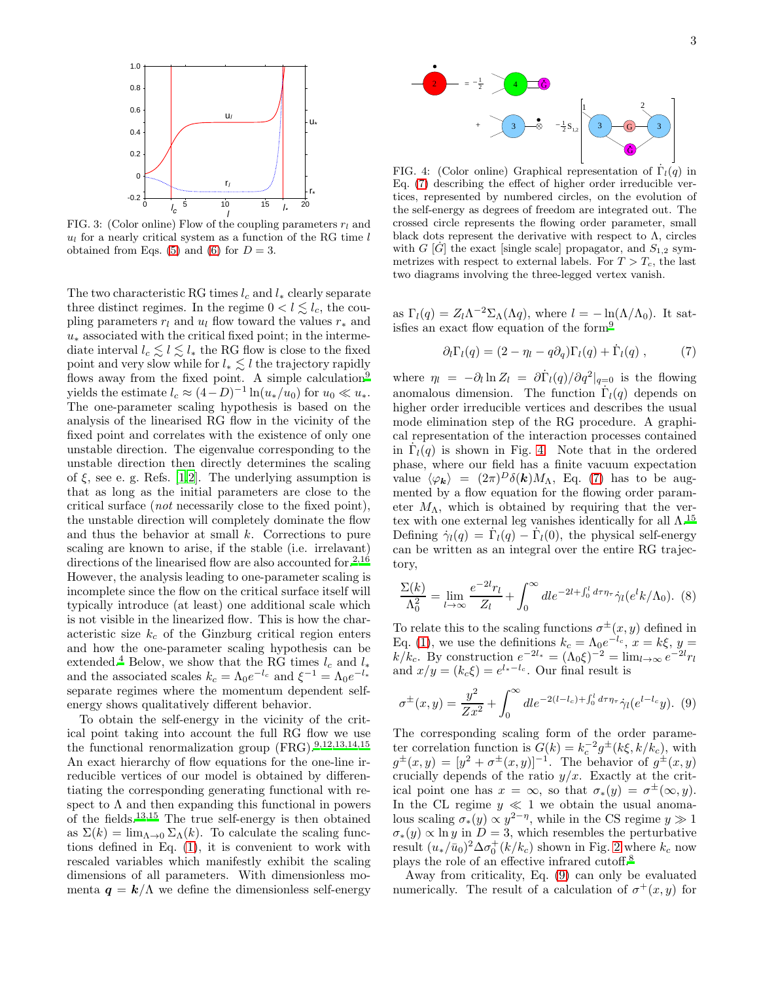

<span id="page-2-0"></span>FIG. 3: (Color online) Flow of the coupling parameters  $r_l$  and  $u_l$  for a nearly critical system as a function of the RG time l obtained from Eqs. [\(5\)](#page-1-4) and [\(6\)](#page-1-4) for  $D = 3$ .

The two characteristic RG times  $l_c$  and  $l_*$  clearly separate three distinct regimes. In the regime  $0 < l \leq l_c$ , the coupling parameters  $r_l$  and  $u_l$  flow toward the values  $r_*$  and  $u_*$  associated with the critical fixed point; in the intermediate interval  $l_c \lesssim l \lesssim l_*$  the RG flow is close to the fixed point and very slow while for  $l_* \lesssim l$  the trajectory rapidly flows away from the fixed point. A simple calculation<sup>[9](#page-3-8)</sup> yields the estimate  $l_c \approx (4-D)^{-1} \ln(u_*/u_0)$  for  $u_0 \ll u_*$ . The one-parameter scaling hypothesis is based on the analysis of the linearised RG flow in the vicinity of the fixed point and correlates with the existence of only one unstable direction. The eigenvalue corresponding to the unstable direction then directly determines the scaling of  $\xi$ , see e. g. Refs. [\[1](#page-3-0)[,2](#page-3-1)]. The underlying assumption is that as long as the initial parameters are close to the critical surface (not necessarily close to the fixed point), the unstable direction will completely dominate the flow and thus the behavior at small  $k$ . Corrections to pure scaling are known to arise, if the stable (i.e. irrelavant) directions of the linearised flow are also accounted for.<sup>[2](#page-3-1)[,16](#page-3-15)</sup> However, the analysis leading to one-parameter scaling is incomplete since the flow on the critical surface itself will typically introduce (at least) one additional scale which is not visible in the linearized flow. This is how the characteristic size  $k_c$  of the Ginzburg critical region enters and how the one-parameter scaling hypothesis can be extended.<sup>[4](#page-3-5)</sup> Below, we show that the RG times  $l_c$  and  $l_*$ and the associated scales  $k_c = \Lambda_0 e^{-l_c}$  and  $\xi^{-1} = \Lambda_0 e^{-l_*}$ separate regimes where the momentum dependent selfenergy shows qualitatively different behavior.

To obtain the self-energy in the vicinity of the critical point taking into account the full RG flow we use the functional renormalization group  $(\text{FRG})^{.9,12,13,14,15}$  $(\text{FRG})^{.9,12,13,14,15}$  $(\text{FRG})^{.9,12,13,14,15}$  $(\text{FRG})^{.9,12,13,14,15}$  $(\text{FRG})^{.9,12,13,14,15}$  $(\text{FRG})^{.9,12,13,14,15}$  $(\text{FRG})^{.9,12,13,14,15}$ An exact hierarchy of flow equations for the one-line irreducible vertices of our model is obtained by differentiating the corresponding generating functional with respect to  $\Lambda$  and then expanding this functional in powers of the fields.[13](#page-3-12)[,15](#page-3-14) The true self-energy is then obtained as  $\Sigma(k) = \lim_{\Lambda \to 0} \Sigma_{\Lambda}(k)$ . To calculate the scaling functions defined in Eq. [\(1\)](#page-1-5), it is convenient to work with rescaled variables which manifestly exhibit the scaling dimensions of all parameters. With dimensionless momenta  $q = k/\Lambda$  we define the dimensionless self-energy



<span id="page-2-2"></span>FIG. 4: (Color online) Graphical representation of  $\dot{\Gamma}_l(q)$  in Eq. [\(7\)](#page-2-1) describing the effect of higher order irreducible vertices, represented by numbered circles, on the evolution of the self-energy as degrees of freedom are integrated out. The crossed circle represents the flowing order parameter, small black dots represent the derivative with respect to  $\Lambda$ , circles with G  $[\dot{G}]$  the exact [single scale] propagator, and  $S_{1,2}$  symmetrizes with respect to external labels. For  $T > T_c$ , the last two diagrams involving the three-legged vertex vanish.

as  $\Gamma_l(q) = Z_l \Lambda^{-2} \Sigma_\Lambda(\Lambda q)$ , where  $l = -\ln(\Lambda/\Lambda_0)$ . It satisfies an exact flow equation of the form[9](#page-3-8)

<span id="page-2-1"></span>
$$
\partial_l \Gamma_l(q) = (2 - \eta_l - q \partial_q) \Gamma_l(q) + \dot{\Gamma}_l(q) , \qquad (7)
$$

where  $\eta_l = -\partial_l \ln Z_l = \frac{\partial \dot{\Gamma}_l(q)}{\partial q^2}\Big|_{q=0}$  is the flowing anomalous dimension. The function  $\dot{\Gamma}_l(q)$  depends on higher order irreducible vertices and describes the usual mode elimination step of the RG procedure. A graphical representation of the interaction processes contained in  $\dot{\Gamma}_l(q)$  is shown in Fig. [4.](#page-2-2) Note that in the ordered phase, where our field has a finite vacuum expectation value  $\langle \varphi_{\bf k} \rangle = (2\pi)^D \delta({\bf k}) M_\Lambda$ , Eq. [\(7\)](#page-2-1) has to be augmented by a flow equation for the flowing order parameter  $M_{\Lambda}$ , which is obtained by requiring that the vertex with one external leg vanishes identically for all  $\Lambda$ .<sup>[15](#page-3-14)</sup> Defining  $\dot{\gamma}_l(q) = \dot{\Gamma}_l(q) - \dot{\Gamma}_l(0)$ , the physical self-energy can be written as an integral over the entire RG trajectory,

$$
\frac{\Sigma(k)}{\Lambda_0^2} = \lim_{l \to \infty} \frac{e^{-2l}r_l}{Z_l} + \int_0^\infty dl e^{-2l + \int_0^l d\tau \eta_\tau} \dot{\gamma}_l(e^l k/\Lambda_0). \tag{8}
$$

To relate this to the scaling functions  $\sigma^{\pm}(x, y)$  defined in Eq. [\(1\)](#page-1-5), we use the definitions  $k_c = \Lambda_0 e^{-l_c}$ ,  $x = k\xi$ ,  $y =$  $k/k_c$ . By construction  $e^{-2l_*} = (\Lambda_0 \xi)^{-2} = \lim_{l \to \infty} e^{-2l} r_l$ and  $x/y = (k_c \xi) = e^{l_*-l_c}$ . Our final result is

<span id="page-2-3"></span>
$$
\sigma^{\pm}(x,y) = \frac{y^2}{Zx^2} + \int_0^{\infty} dl e^{-2(l-l_c) + \int_0^l d\tau \eta_{\tau}} \dot{\gamma}_l(e^{l-l_c}y). \tag{9}
$$

The corresponding scaling form of the order parameter correlation function is  $G(k) = k_c^{-2} g^{\pm} (k \xi, k / k_c)$ , with  $g^{\pm}(x,y) = [y^2 + \sigma^{\pm}(x,y)]^{-1}$ . The behavior of  $g^{\pm}(x,y)$ crucially depends of the ratio  $y/x$ . Exactly at the critical point one has  $x = \infty$ , so that  $\sigma_*(y) = \sigma^{\pm}(\infty, y)$ . In the CL regime  $y \ll 1$  we obtain the usual anomalous scaling  $\sigma_*(y) \propto y^{2-\eta}$ , while in the CS regime  $y \gg 1$  $\sigma_*(y) \propto \ln y$  in  $D = 3$ , which resembles the perturbative result  $(u_*/\bar{u}_0)^2 \Delta \sigma_0^+(k/k_c)$  shown in Fig. [2](#page-1-0) where  $k_c$  now plays the role of an effective infrared cutoff.[8](#page-3-7)

Away from criticality, Eq. [\(9\)](#page-2-3) can only be evaluated numerically. The result of a calculation of  $\sigma^+(x, y)$  for